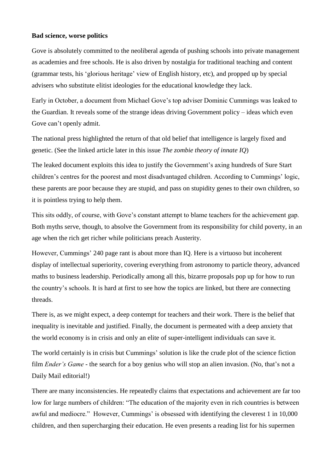## **Bad science, worse politics**

Gove is absolutely committed to the neoliberal agenda of pushing schools into private management as academies and free schools. He is also driven by nostalgia for traditional teaching and content (grammar tests, his 'glorious heritage' view of English history, etc), and propped up by special advisers who substitute elitist ideologies for the educational knowledge they lack.

Early in October, a document from Michael Gove's top adviser Dominic Cummings was leaked to the Guardian. It reveals some of the strange ideas driving Government policy – ideas which even Gove can't openly admit.

The national press highlighted the return of that old belief that intelligence is largely fixed and genetic. (See the linked article later in this issue *The zombie theory of innate IQ*)

The leaked document exploits this idea to justify the Government's axing hundreds of Sure Start children's centres for the poorest and most disadvantaged children. According to Cummings' logic, these parents are poor because they are stupid, and pass on stupidity genes to their own children, so it is pointless trying to help them.

This sits oddly, of course, with Gove's constant attempt to blame teachers for the achievement gap. Both myths serve, though, to absolve the Government from its responsibility for child poverty, in an age when the rich get richer while politicians preach Austerity.

However, Cummings' 240 page rant is about more than IQ. Here is a virtuoso but incoherent display of intellectual superiority, covering everything from astronomy to particle theory, advanced maths to business leadership. Periodically among all this, bizarre proposals pop up for how to run the country's schools. It is hard at first to see how the topics are linked, but there are connecting threads.

There is, as we might expect, a deep contempt for teachers and their work. There is the belief that inequality is inevitable and justified. Finally, the document is permeated with a deep anxiety that the world economy is in crisis and only an elite of super-intelligent individuals can save it.

The world certainly is in crisis but Cummings' solution is like the crude plot of the science fiction film *Ender's Game* - the search for a boy genius who will stop an alien invasion. (No, that's not a Daily Mail editorial!)

There are many inconsistencies. He repeatedly claims that expectations and achievement are far too low for large numbers of children: "The education of the majority even in rich countries is between awful and mediocre." However, Cummings' is obsessed with identifying the cleverest 1 in 10,000 children, and then supercharging their education. He even presents a reading list for his supermen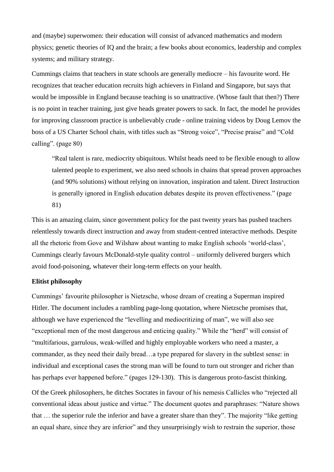and (maybe) superwomen: their education will consist of advanced mathematics and modern physics; genetic theories of IQ and the brain; a few books about economics, leadership and complex systems; and military strategy.

Cummings claims that teachers in state schools are generally mediocre – his favourite word. He recognizes that teacher education recruits high achievers in Finland and Singapore, but says that would be impossible in England because teaching is so unattractive. (Whose fault that then?) There is no point in teacher training, just give heads greater powers to sack. In fact, the model he provides for improving classroom practice is unbelievably crude - online training videos by Doug Lemov the boss of a US Charter School chain, with titles such as "Strong voice", "Precise praise" and "Cold calling". (page 80)

"Real talent is rare, mediocrity ubiquitous. Whilst heads need to be flexible enough to allow talented people to experiment, we also need schools in chains that spread proven approaches (and 90% solutions) without relying on innovation, inspiration and talent. Direct Instruction is generally ignored in English education debates despite its proven effectiveness." (page 81)

This is an amazing claim, since government policy for the past twenty years has pushed teachers relentlessly towards direct instruction and away from student-centred interactive methods. Despite all the rhetoric from Gove and Wilshaw about wanting to make English schools 'world-class', Cummings clearly favours McDonald-style quality control – uniformly delivered burgers which avoid food-poisoning, whatever their long-term effects on your health.

## **Elitist philosophy**

Cummings' favourite philosopher is Nietzsche, whose dream of creating a Superman inspired Hitler. The document includes a rambling page-long quotation, where Nietzsche promises that, although we have experienced the "levelling and mediocritizing of man", we will also see "exceptional men of the most dangerous and enticing quality." While the "herd" will consist of "multifarious, garrulous, weak-willed and highly employable workers who need a master, a commander, as they need their daily bread…a type prepared for slavery in the subtlest sense: in individual and exceptional cases the strong man will be found to turn out stronger and richer than has perhaps ever happened before." (pages 129-130). This is dangerous proto-fascist thinking.

Of the Greek philosophers, he ditches Socrates in favour of his nemesis Callicles who "rejected all conventional ideas about justice and virtue." The document quotes and paraphrases: "Nature shows that … the superior rule the inferior and have a greater share than they". The majority "like getting an equal share, since they are inferior" and they unsurprisingly wish to restrain the superior, those